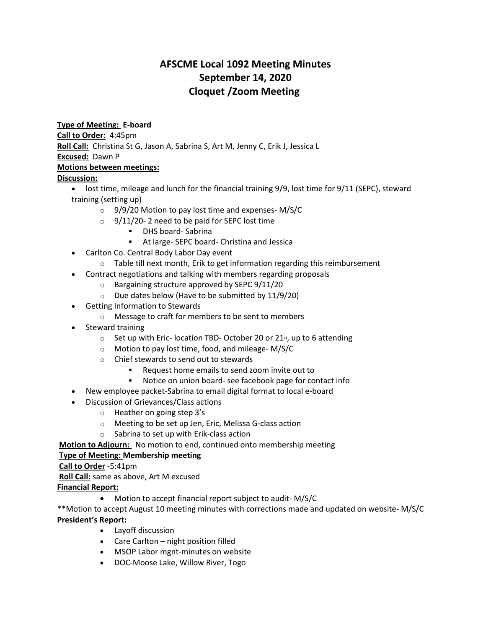# **AFSCME Local 1092 Meeting Minutes September 14, 2020 Cloquet /Zoom Meeting**

#### **Type of Meeting: E-board**

**Call to Order:** 4:45pm

**Roll Call:** Christina St G, Jason A, Sabrina S, Art M, Jenny C, Erik J, Jessica L **Excused:** Dawn P

# **Motions between meetings:**

### **Discussion:**

- lost time, mileage and lunch for the financial training 9/9, lost time for 9/11 (SEPC), steward training (setting up)
	- $\circ$  9/9/20 Motion to pay lost time and expenses- M/S/C
	- $\degree$  9/11/20-2 need to be paid for SEPC lost time
		- DHS board- Sabrina
		- At large- SEPC board- Christina and Jessica
- Carlton Co. Central Body Labor Day event
	- $\circ$  Table till next month, Erik to get information regarding this reimbursement
- Contract negotiations and talking with members regarding proposals
	- o Bargaining structure approved by SEPC 9/11/20
	- $\circ$  Due dates below (Have to be submitted by 11/9/20)
- Getting Information to Stewards
	- o Message to craft for members to be sent to members
- Steward training
	- $\circ$  Set up with Eric- location TBD- October 20 or 21<sup>st</sup>, up to 6 attending
	- o Motion to pay lost time, food, and mileage- M/S/C
	- o Chief stewards to send out to stewards
		- Request home emails to send zoom invite out to
		- Notice on union board- see facebook page for contact info
- New employee packet-Sabrina to email digital format to local e-board
- Discussion of Grievances/Class actions
	- o Heather on going step 3's
	- o Meeting to be set up Jen, Eric, Melissa G-class action
	- o Sabrina to set up with Erik-class action
- **Motion to Adjourn:** No motion to end, continued onto membership meeting

## **Type of Meeting: Membership meeting**

**Call to Order** -5:41pm

**Roll Call:** same as above, Art M excused

**Financial Report:**

Motion to accept financial report subject to audit- M/S/C

\*\*Motion to accept August 10 meeting minutes with corrections made and updated on website- M/S/C **President's Report:**

- Layoff discussion
- Care Carlton night position filled
- MSOP Labor mgnt-minutes on website
- DOC-Moose Lake, Willow River, Togo